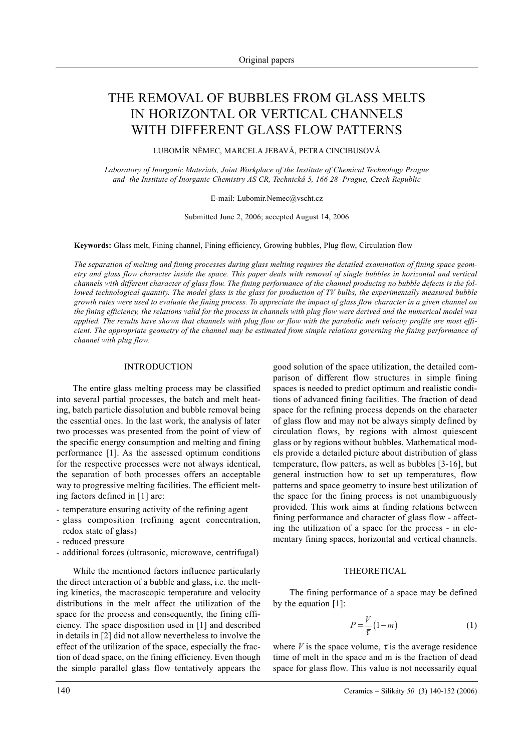# THE REMOVAL OF BUBBLES FROM GLASS MELTS IN HORIZONTAL OR VERTICAL CHANNELS WITH DIFFERENT GLASS FLOW PATTERNS

LUBOMÍR NÌMEC, MARCELA JEBAVÁ, PETRA CINCIBUSOVÁ

*Laboratory of Inorganic Materials, Joint Workplace of the Institute of Chemical Technology Prague and the Institute of Inorganic Chemistry AS CR, Technická 5, 166 28 Prague, Czech Republic*

E-mail: Lubomir.Nemec@vscht.cz

Submitted June 2, 2006; accepted August 14, 2006

**Keywords:** Glass melt, Fining channel, Fining efficiency, Growing bubbles, Plug flow, Circulation flow

*The separation of melting and fining processes during glass melting requires the detailed examination of fining space geometry and glass flow character inside the space. This paper deals with removal of single bubbles in horizontal and vertical channels with different character of glass flow. The fining performance of the channel producing no bubble defects is the followed technological quantity. The model glass is the glass for production of TV bulbs, the experimentally measured bubble growth rates were used to evaluate the fining process. To appreciate the impact of glass flow character in a given channel on the fining efficiency, the relations valid for the process in channels with plug flow were derived and the numerical model was applied. The results have shown that channels with plug flow or flow with the parabolic melt velocity profile are most efficient. The appropriate geometry of the channel may be estimated from simple relations governing the fining performance of channel with plug flow.*

## INTRODUCTION

The entire glass melting process may be classified into several partial processes, the batch and melt heating, batch particle dissolution and bubble removal being the essential ones. In the last work, the analysis of later two processes was presented from the point of view of the specific energy consumption and melting and fining performance [1]. As the assessed optimum conditions for the respective processes were not always identical, the separation of both processes offers an acceptable way to progressive melting facilities. The efficient melting factors defined in [1] are:

- temperature ensuring activity of the refining agent
- glass composition (refining agent concentration, redox state of glass)
- reduced pressure
- additional forces (ultrasonic, microwave, centrifugal)

While the mentioned factors influence particularly the direct interaction of a bubble and glass, i.e. the melting kinetics, the macroscopic temperature and velocity distributions in the melt affect the utilization of the space for the process and consequently, the fining efficiency. The space disposition used in [1] and described in details in [2] did not allow nevertheless to involve the effect of the utilization of the space, especially the fraction of dead space, on the fining efficiency. Even though the simple parallel glass flow tentatively appears the good solution of the space utilization, the detailed comparison of different flow structures in simple fining spaces is needed to predict optimum and realistic conditions of advanced fining facilities. The fraction of dead space for the refining process depends on the character of glass flow and may not be always simply defined by circulation flows, by regions with almost quiescent glass or by regions without bubbles. Mathematical models provide a detailed picture about distribution of glass temperature, flow patters, as well as bubbles [3-16], but general instruction how to set up temperatures, flow patterns and space geometry to insure best utilization of the space for the fining process is not unambiguously provided. This work aims at finding relations between fining performance and character of glass flow - affecting the utilization of a space for the process - in elementary fining spaces, horizontal and vertical channels.

## THEORETICAL

The fining performance of a space may be defined by the equation [1]:

$$
P = \frac{V}{\overline{\tau}}(1-m) \tag{1}
$$

where *V* is the space volume,  $\bar{\tau}$  is the average residence time of melt in the space and m is the fraction of dead space for glass flow. This value is not necessarily equal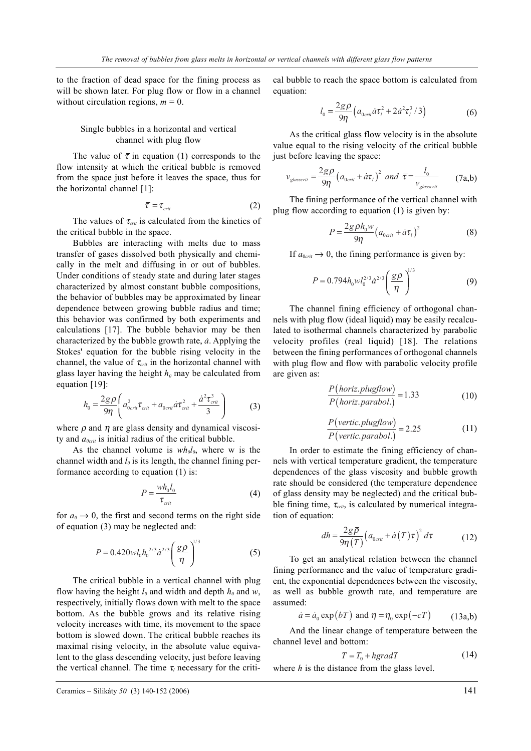to the fraction of dead space for the fining process as will be shown later. For plug flow or flow in a channel without circulation regions,  $m = 0$ .

# Single bubbles in a horizontal and vertical channel with plug flow

The value of  $\bar{\tau}$  in equation (1) corresponds to the flow intensity at which the critical bubble is removed from the space just before it leaves the space, thus for the horizontal channel [1]:

$$
\overline{\tau} = \tau_{\text{crit}} \tag{2}
$$

The values of  $\tau_{crit}$  is calculated from the kinetics of the critical bubble in the space.

Bubbles are interacting with melts due to mass transfer of gases dissolved both physically and chemically in the melt and diffusing in or out of bubbles. Under conditions of steady state and during later stages characterized by almost constant bubble compositions, the behavior of bubbles may be approximated by linear dependence between growing bubble radius and time; this behavior was confirmed by both experiments and calculations [17]. The bubble behavior may be then characterized by the bubble growth rate, *a*. Applying the Stokes' equation for the bubble rising velocity in the channel, the value of  $\tau_{crit}$  in the horizontal channel with glass layer having the height  $h_0$  may be calculated from equation [19]:

$$
h_0 = \frac{2g\rho}{9\eta} \left( a_{0\,ci}^2 \tau_{\text{crit}} + a_{0\,ci} \dot{a} \tau_{\text{crit}}^2 + \frac{\dot{a}^2 \tau_{\text{crit}}^3}{3} \right) \tag{3}
$$

where  $\rho$  and  $\eta$  are glass density and dynamical viscosity and  $a_{0crit}$  is initial radius of the critical bubble.

As the channel volume is  $wh_0l_0$ , where w is the channel width and  $l_0$  is its length, the channel fining performance according to equation (1) is:

$$
P = \frac{wh_0 l_0}{\tau_{crit}}\tag{4}
$$

for  $a_0 \rightarrow 0$ , the first and second terms on the right side of equation (3) may be neglected and:

$$
P = 0.420 \, w l_0 h_0^{2/3} \dot{a}^{2/3} \left(\frac{g \rho}{\eta}\right)^{1/3} \tag{5}
$$

The critical bubble in a vertical channel with plug flow having the height  $l_0$  and width and depth  $h_0$  and  $w$ , respectively, initially flows down with melt to the space bottom. As the bubble grows and its relative rising velocity increases with time, its movement to the space bottom is slowed down. The critical bubble reaches its maximal rising velocity, in the absolute value equivalent to the glass descending velocity, just before leaving the vertical channel. The time  $\tau_l$  necessary for the critical bubble to reach the space bottom is calculated from equation:

$$
l_0 = \frac{2g\rho}{9\eta} \left( a_{0\,ci}/\dot{\alpha}\tau_l^2 + 2\dot{\alpha}^2\tau_l^3 / 3 \right) \tag{6}
$$

As the critical glass flow velocity is in the absolute value equal to the rising velocity of the critical bubble just before leaving the space:

$$
v_{glasscrit} = \frac{2g\rho}{9\eta} \left(a_{0crit} + \dot{a}\tau_t\right)^2 \text{ and } \overline{\tau} = \frac{l_0}{v_{glasscrit}} \qquad (7a,b)
$$

The fining performance of the vertical channel with plug flow according to equation  $(1)$  is given by:

$$
P = \frac{2g\rho h_0 w}{9\eta} \left( a_{0\text{crit}} + \dot{a}\tau_i \right)^2 \tag{8}
$$

If  $a_{0crit} \rightarrow 0$ , the fining performance is given by:

$$
P = 0.794 h_0 w l_0^{2/3} \dot{a}^{2/3} \left(\frac{g\rho}{\eta}\right)^{1/3}
$$
 (9)

The channel fining efficiency of orthogonal channels with plug flow (ideal liquid) may be easily recalculated to isothermal channels characterized by parabolic velocity profiles (real liquid) [18]. The relations between the fining performances of orthogonal channels with plug flow and flow with parabolic velocity profile are given as:

$$
\frac{P(horiz, plugflow)}{P(horiz, parabol.)} = 1.33
$$
\n(10)

$$
\frac{P(\text{vertic}, \text{plugflow})}{P(\text{vertic}, \text{parabol.})} = 2.25\tag{11}
$$

In order to estimate the fining efficiency of channels with vertical temperature gradient, the temperature dependences of the glass viscosity and bubble growth rate should be considered (the temperature dependence of glass density may be neglected) and the critical bubble fining time,  $\tau_{crit}$ , is calculated by numerical integration of equation:

$$
dh = \frac{2g\bar{\rho}}{9\eta(T)} \left( a_{0\,crit} + \dot{a}(T)\tau \right)^2 d\tau \tag{12}
$$

To get an analytical relation between the channel fining performance and the value of temperature gradient, the exponential dependences between the viscosity, as well as bubble growth rate, and temperature are assumed:

$$
\dot{a} = \dot{a}_0 \exp(bT) \text{ and } \eta = \eta_0 \exp(-cT) \quad (13a,b)
$$

And the linear change of temperature between the channel level and bottom:

$$
T = T_0 + hgradT \tag{14}
$$

where *h* is the distance from the glass level.

Ceramics − Silikáty *50* (3) 140-152 (2006) 141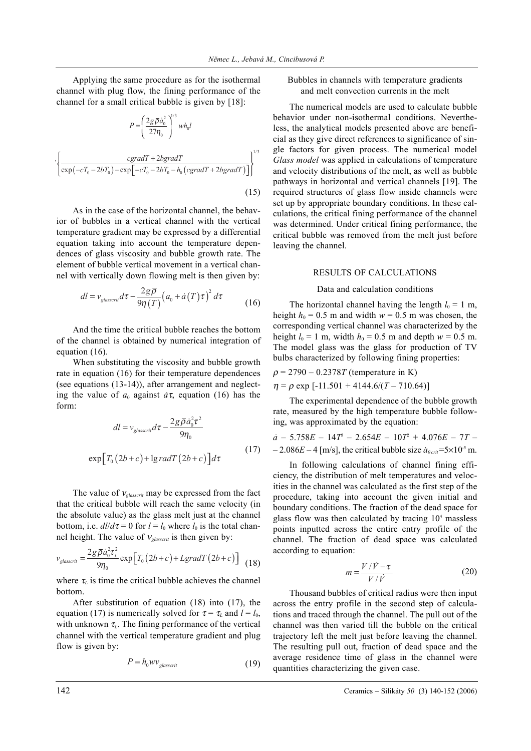Applying the same procedure as for the isothermal channel with plug flow, the fining performance of the channel for a small critical bubble is given by [18]:

$$
P = \left(\frac{2g\overline{\rho}\dot{a}_0^2}{27\eta_0}\right)^{1/3} w h_0 l
$$

$$
\left\{\frac{cgradT + 2bgradT}{\exp(-cT_0 - 2bT_0) - \exp[-cT_0 - 2bT_0 - h_0(cgradT + 2bgradT)]}\right\}^{1/3}
$$
(15)

As in the case of the horizontal channel, the behavior of bubbles in a vertical channel with the vertical temperature gradient may be expressed by a differential equation taking into account the temperature dependences of glass viscosity and bubble growth rate. The element of bubble vertical movement in a vertical channel with vertically down flowing melt is then given by:

$$
dl = v_{glasscrit} d\tau - \frac{2g\bar{\rho}}{9\eta(T)} \left(a_0 + \dot{a}(T)\tau\right)^2 d\tau
$$
 (16)

And the time the critical bubble reaches the bottom of the channel is obtained by numerical integration of equation (16).

When substituting the viscosity and bubble growth rate in equation (16) for their temperature dependences (see equations (13-14)), after arrangement and neglecting the value of  $a_0$  against  $a\tau$ , equation (16) has the form:

$$
dl = v_{glasscrit} d\tau - \frac{2g\bar{\rho}\dot{a}_0^2 \tau^2}{9\eta_0}
$$
  
\n
$$
\exp\left[T_0(2b+c) + \lg radT(2b+c)\right] d\tau
$$
\n(17)

The value of <sup>ν</sup>*glasscrit* may be expressed from the fact that the critical bubble will reach the same velocity (in the absolute value) as the glass melt just at the channel bottom, i.e.  $dl/d\tau = 0$  for  $l = l_0$  where  $l_0$  is the total channel height. The value of  $v_{\text{glasscrit}}$  is then given by:

$$
v_{glasscrit} = \frac{2g\bar{\rho}\dot{a}_0^2\tau_L^2}{9\eta_0} \exp\left[T_0\left(2b+c\right) + LgradT\left(2b+c\right)\right] \tag{18}
$$

where  $\tau_L$  is time the critical bubble achieves the channel bottom.

After substitution of equation (18) into (17), the equation (17) is numerically solved for  $\tau = \tau_L$  and  $l = l_0$ , with unknown  $\tau_L$ . The fining performance of the vertical channel with the vertical temperature gradient and plug flow is given by:

$$
P = h_0 w v_{\text{glasscrit}} \tag{19}
$$

Bubbles in channels with temperature gradients and melt convection currents in the melt

The numerical models are used to calculate bubble behavior under non-isothermal conditions. Nevertheless, the analytical models presented above are beneficial as they give direct references to significance of single factors for given process. The numerical model *Glass model* was applied in calculations of temperature and velocity distributions of the melt, as well as bubble pathways in horizontal and vertical channels [19]. The required structures of glass flow inside channels were set up by appropriate boundary conditions. In these calculations, the critical fining performance of the channel was determined. Under critical fining performance, the critical bubble was removed from the melt just before leaving the channel.

#### RESULTS OF CALCULATIONS

#### Data and calculation conditions

The horizontal channel having the length  $l_0 = 1$  m, height  $h_0 = 0.5$  m and width  $w = 0.5$  m was chosen, the corresponding vertical channel was characterized by the height  $l_0 = 1$  m, width  $h_0 = 0.5$  m and depth  $w = 0.5$  m. The model glass was the glass for production of TV bulbs characterized by following fining properties:

$$
\rho = 2790 - 0.2378T \text{ (temperature in K)}
$$
  

$$
\eta = \rho \exp[-11.501 + 4144.6/(T - 710.64)]
$$

The experimental dependence of the bubble growth rate, measured by the high temperature bubble following, was approximated by the equation:

$$
\dot{a} - 5.758E - 14T^3 - 2.654E - 10T^2 + 4.076E - 7T - 2.086E - 4 \text{ [m/s], the critical bubble size } \dot{a}_{\text{2,crit}} = 5 \times 10^5 \text{ m}.
$$

In following calculations of channel fining efficiency, the distribution of melt temperatures and velocities in the channel was calculated as the first step of the procedure, taking into account the given initial and boundary conditions. The fraction of the dead space for glass flow was then calculated by tracing  $10<sup>4</sup>$  massless points inputted across the entire entry profile of the channel. The fraction of dead space was calculated according to equation:

$$
m = \frac{V/\dot{V} - \overline{\tau}}{V/\dot{V}}
$$
 (20)

Thousand bubbles of critical radius were then input across the entry profile in the second step of calculations and traced through the channel. The pull out of the channel was then varied till the bubble on the critical trajectory left the melt just before leaving the channel. The resulting pull out, fraction of dead space and the average residence time of glass in the channel were quantities characterizing the given case.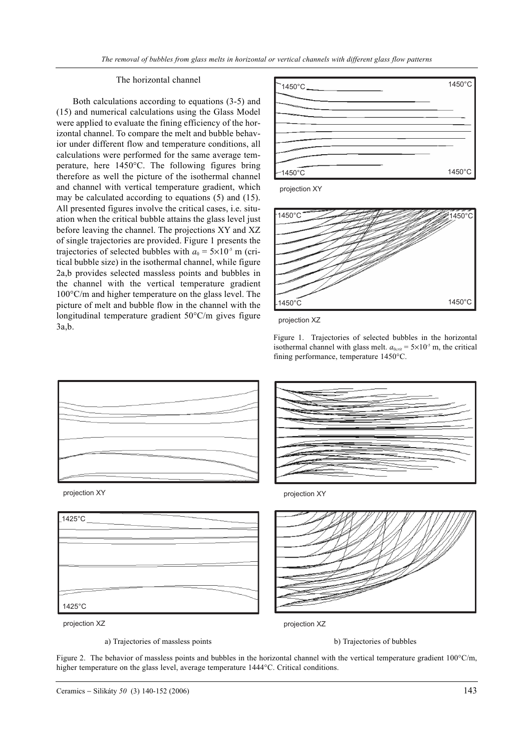# The horizontal channel

Both calculations according to equations (3-5) and (15) and numerical calculations using the Glass Model were applied to evaluate the fining efficiency of the horizontal channel. To compare the melt and bubble behavior under different flow and temperature conditions, all calculations were performed for the same average temperature, here 1450°C. The following figures bring therefore as well the picture of the isothermal channel and channel with vertical temperature gradient, which may be calculated according to equations (5) and (15). All presented figures involve the critical cases, i.e. situation when the critical bubble attains the glass level just before leaving the channel. The projections XY and XZ of single trajectories are provided. Figure 1 presents the trajectories of selected bubbles with  $a_0 = 5 \times 10^{-5}$  m (critical bubble size) in the isothermal channel, while figure 2a,b provides selected massless points and bubbles in the channel with the vertical temperature gradient 100°C/m and higher temperature on the glass level. The picture of melt and bubble flow in the channel with the longitudinal temperature gradient 50°C/m gives figure 3a,b.



projection XY





Figure 1. Trajectories of selected bubbles in the horizontal isothermal channel with glass melt.  $a_{0crit} = 5 \times 10^{-5}$  m, the critical fining performance, temperature 1450°C.









1425°C

1425°C

projection XY

a) Trajectories of massless points b) Trajectories of bubbles

projection XZ

Figure 2. The behavior of massless points and bubbles in the horizontal channel with the vertical temperature gradient  $100^{\circ}$ C/m, higher temperature on the glass level, average temperature 1444°C. Critical conditions.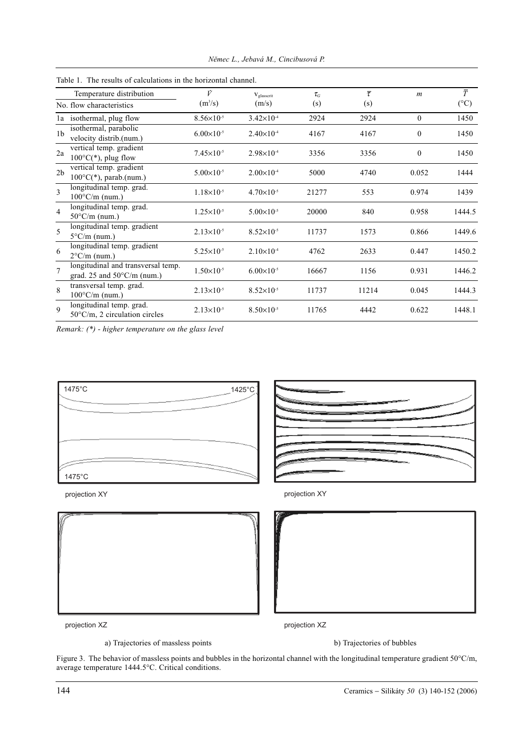|                | Table 1. The results of calculations in the horizontal channel.            |                       |                       |                                       |                          |                |                            |  |  |
|----------------|----------------------------------------------------------------------------|-----------------------|-----------------------|---------------------------------------|--------------------------|----------------|----------------------------|--|--|
|                | Temperature distribution<br>No. flow characteristics                       | Ÿ<br>$(m^3/s)$        | Vglasscrit<br>(m/s)   | $\tau_{\scriptscriptstyle{G}}$<br>(s) | $\overline{\tau}$<br>(s) | $\mathfrak{m}$ | $\bar{T}$<br>$(^{\circ}C)$ |  |  |
|                | la isothermal, plug flow                                                   | $8.56 \times 10^{-5}$ | $3.42 \times 10^{-4}$ | 2924                                  | 2924                     | $\mathbf{0}$   | 1450                       |  |  |
| 1 <sub>b</sub> | isothermal, parabolic<br>velocity distrib.(num.)                           | $6.00\times10^{-5}$   | $2.40\times10^{-4}$   | 4167                                  | 4167                     | $\mathbf{0}$   | 1450                       |  |  |
| 2a             | vertical temp. gradient<br>$100^{\circ}C(*)$ , plug flow                   | $7.45 \times 10^{-5}$ | $2.98 \times 10^{-4}$ | 3356                                  | 3356                     | $\mathbf{0}$   | 1450                       |  |  |
| 2 <sub>b</sub> | vertical temp. gradient<br>$100^{\circ}C(*)$ , parab.(num.)                | $5.00\times10^{-5}$   | $2.00\times10^{-4}$   | 5000                                  | 4740                     | 0.052          | 1444                       |  |  |
| 3              | longitudinal temp. grad.<br>$100^{\circ}$ C/m (num.)                       | $1.18\times10^{-5}$   | $4.70\times10^{-5}$   | 21277                                 | 553                      | 0.974          | 1439                       |  |  |
| $\overline{4}$ | longitudinal temp. grad.<br>$50^{\circ}$ C/m (num.)                        | $1.25 \times 10^{-5}$ | $5.00\times10^{-5}$   | 20000                                 | 840                      | 0.958          | 1444.5                     |  |  |
| 5              | longitudinal temp. gradient<br>$5^{\circ}$ C/m (num.)                      | $2.13\times10^{-5}$   | $8.52\times10^{-5}$   | 11737                                 | 1573                     | 0.866          | 1449.6                     |  |  |
| 6              | longitudinal temp. gradient<br>$2^{\circ}$ C/m (num.)                      | $5.25 \times 10^{-5}$ | $2.10\times10^{-4}$   | 4762                                  | 2633                     | 0.447          | 1450.2                     |  |  |
| $\overline{7}$ | longitudinal and transversal temp.<br>grad. 25 and $50^{\circ}$ C/m (num.) | $1.50\times10^{-5}$   | $6.00\times10^{-5}$   | 16667                                 | 1156                     | 0.931          | 1446.2                     |  |  |
| 8              | transversal temp. grad.<br>$100^{\circ}$ C/m (num.)                        | $2.13\times10^{-5}$   | $8.52\times10^{-5}$   | 11737                                 | 11214                    | 0.045          | 1444.3                     |  |  |
| $\mathbf{Q}$   | longitudinal temp. grad.<br>$50^{\circ}$ C/m, 2 circulation circles        | $2.13\times10^{-5}$   | $8.50\times10^{-5}$   | 11765                                 | 4442                     | 0.622          | 1448.1                     |  |  |

*Nìmec L., Jebavá M., Cincibusová P.*

*Remark: (\*) - higher temperature on the glass level*



projection XY





projection XY

projection XZ

projection XZ

a) Trajectories of massless points b) Trajectories of bubbles

Figure 3. The behavior of massless points and bubbles in the horizontal channel with the longitudinal temperature gradient 50°C/m, average temperature 1444.5°C. Critical conditions.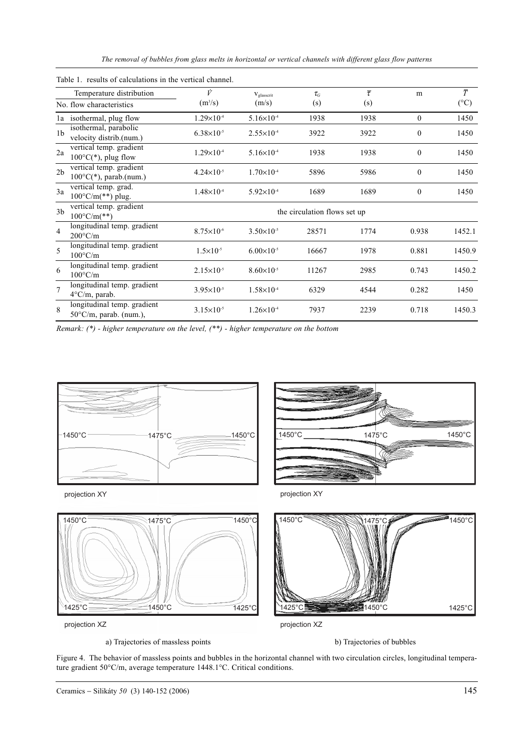*The removal of bubbles from glass melts in horizontal or vertical channels with different glass flow patterns*

|                | Temperature distribution                                        | Ý                            | Vglasscrit            | $\tau_{\scriptscriptstyle{G}}$ | $\overline{\tau}$ | m                | $\overline{\overline{T}}$ |  |
|----------------|-----------------------------------------------------------------|------------------------------|-----------------------|--------------------------------|-------------------|------------------|---------------------------|--|
|                | No. flow characteristics                                        | $(m^3/s)$                    | (m/s)                 | (s)                            | (s)               |                  | $(^{\circ}C)$             |  |
|                | la isothermal, plug flow                                        | $1.29\times10^{-4}$          | $5.16 \times 10^{-4}$ | 1938                           | 1938              | $\theta$         | 1450                      |  |
| 1 <sub>b</sub> | isothermal, parabolic<br>velocity distrib.(num.)                | $6.38\times10^{-5}$          | $2.55 \times 10^{-4}$ | 3922                           | 3922              | $\theta$         | 1450                      |  |
| 2a             | vertical temp. gradient<br>$100^{\circ}C(*)$ , plug flow        | $1.29\times10^{4}$           | $5.16 \times 10^{-4}$ | 1938                           | 1938              | $\mathbf{0}$     | 1450                      |  |
| 2 <sub>b</sub> | vertical temp. gradient<br>$100^{\circ}C(*)$ , parab.(num.)     | $4.24 \times 10^{-5}$        | $1.70\times10^{-4}$   | 5896                           | 5986              | $\boldsymbol{0}$ | 1450                      |  |
| 3a             | vertical temp. grad.<br>$100^{\circ}$ C/m(**) plug.             | $1.48\times10^{-4}$          | $5.92 \times 10^{-4}$ | 1689                           | 1689              | $\mathbf{0}$     | 1450                      |  |
| 3 <sub>b</sub> | vertical temp. gradient<br>$100^{\circ}$ C/m(**)                | the circulation flows set up |                       |                                |                   |                  |                           |  |
| $\overline{4}$ | longitudinal temp. gradient<br>$200^{\circ}$ C/m                | $8.75 \times 10^{-6}$        | $3.50\times10^{-5}$   | 28571                          | 1774              | 0.938            | 1452.1                    |  |
| 5              | longitudinal temp. gradient<br>$100^{\circ}$ C/m                | $1.5\times10^{-5}$           | $6.00\times10^{-5}$   | 16667                          | 1978              | 0.881            | 1450.9                    |  |
| 6              | longitudinal temp. gradient<br>$100^{\circ}$ C/m                | $2.15\times10^{-5}$          | $8.60\times10^{-5}$   | 11267                          | 2985              | 0.743            | 1450.2                    |  |
| $\overline{7}$ | longitudinal temp. gradient<br>$4^{\circ}$ C/m, parab.          | $3.95 \times 10^{-5}$        | $1.58\times10^{4}$    | 6329                           | 4544              | 0.282            | 1450                      |  |
| $\mathbf{8}$   | longitudinal temp. gradient<br>$50^{\circ}$ C/m, parab. (num.), | $3.15\times10^{-5}$          | $1.26 \times 10^{-4}$ | 7937                           | 2239              | 0.718            | 1450.3                    |  |

|  |  |  |  |  |  |  |  | Table 1. results of calculations in the vertical channel. |
|--|--|--|--|--|--|--|--|-----------------------------------------------------------|
|--|--|--|--|--|--|--|--|-----------------------------------------------------------|

*Remark: (\*) - higher temperature on the level, (\*\*) - higher temperature on the bottom*



projection XY



projection XY





projection XZ

a) Trajectories of massless points b) Trajectories of bubbles

Figure 4. The behavior of massless points and bubbles in the horizontal channel with two circulation circles, longitudinal temperature gradient 50°C/m, average temperature 1448.1°C. Critical conditions.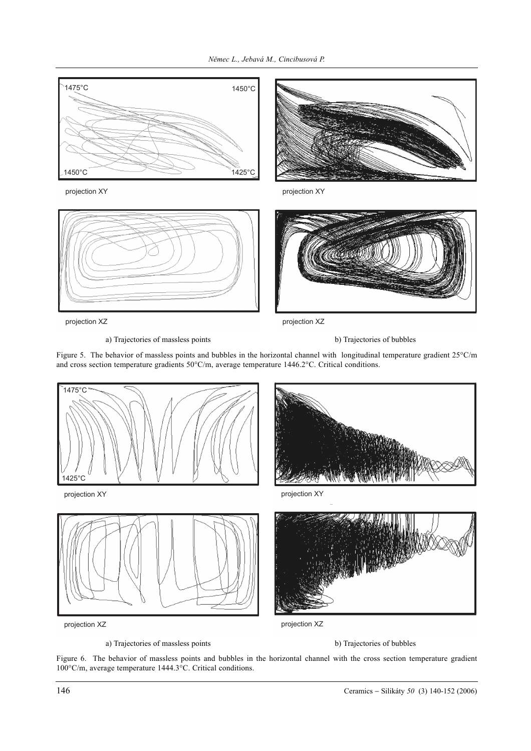

projection XY



projection XY



projection XZ

projection XZ



Figure 5. The behavior of massless points and bubbles in the horizontal channel with longitudinal temperature gradient 25°C/m and cross section temperature gradients 50°C/m, average temperature 1446.2°C. Critical conditions.



a) Trajectories of massless points b) Trajectories of bubbles

Figure 6. The behavior of massless points and bubbles in the horizontal channel with the cross section temperature gradient 100°C/m, average temperature 1444.3°C. Critical conditions.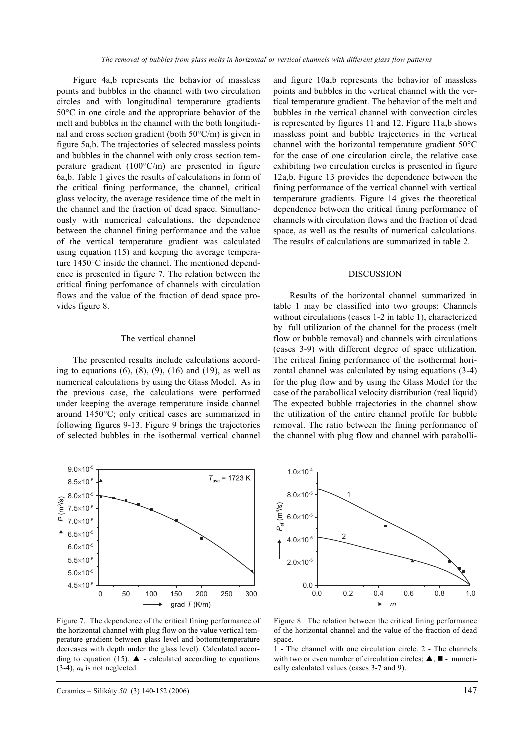Figure 4a,b represents the behavior of massless points and bubbles in the channel with two circulation circles and with longitudinal temperature gradients 50°C in one circle and the appropriate behavior of the melt and bubbles in the channel with the both longitudinal and cross section gradient (both  $50^{\circ}$ C/m) is given in figure 5a,b. The trajectories of selected massless points and bubbles in the channel with only cross section temperature gradient  $(100^{\circ}C/m)$  are presented in figure 6a,b. Table 1 gives the results of calculations in form of the critical fining performance, the channel, critical glass velocity, the average residence time of the melt in the channel and the fraction of dead space. Simultaneously with numerical calculations, the dependence between the channel fining performance and the value of the vertical temperature gradient was calculated using equation (15) and keeping the average temperature 1450°C inside the channel. The mentioned dependence is presented in figure 7. The relation between the critical fining perfomance of channels with circulation flows and the value of the fraction of dead space provides figure 8.

#### The vertical channel

The presented results include calculations according to equations  $(6)$ ,  $(8)$ ,  $(9)$ ,  $(16)$  and  $(19)$ , as well as numerical calculations by using the Glass Model. As in the previous case, the calculations were performed under keeping the average temperature inside channel around 1450°C; only critical cases are summarized in following figures 9-13. Figure 9 brings the trajectories of selected bubbles in the isothermal vertical channel



Figure 7. The dependence of the critical fining performance of the horizontal channel with plug flow on the value vertical temperature gradient between glass level and bottom(temperature decreases with depth under the glass level). Calculated according to equation (15).  $\blacktriangle$  - calculated according to equations  $(3-4)$ ,  $a<sub>0</sub>$  is not neglected.

and figure 10a,b represents the behavior of massless points and bubbles in the vertical channel with the vertical temperature gradient. The behavior of the melt and bubbles in the vertical channel with convection circles is represented by figures 11 and 12. Figure 11a,b shows massless point and bubble trajectories in the vertical channel with the horizontal temperature gradient 50°C for the case of one circulation circle, the relative case exhibiting two circulation circles is presented in figure 12a,b. Figure 13 provides the dependence between the fining performance of the vertical channel with vertical temperature gradients. Figure 14 gives the theoretical dependence between the critical fining performance of channels with circulation flows and the fraction of dead space, as well as the results of numerical calculations. The results of calculations are summarized in table 2.

#### DISCUSSION

Results of the horizontal channel summarized in table 1 may be classified into two groups: Channels without circulations (cases 1-2 in table 1), characterized by full utilization of the channel for the process (melt flow or bubble removal) and channels with circulations (cases 3-9) with different degree of space utilization. The critical fining performance of the isothermal horizontal channel was calculated by using equations (3-4) for the plug flow and by using the Glass Model for the case of the parabollical velocity distribution (real liquid) The expected bubble trajectories in the channel show the utilization of the entire channel profile for bubble removal. The ratio between the fining performance of the channel with plug flow and channel with parabolli-



Figure 8. The relation between the critical fining performance of the horizontal channel and the value of the fraction of dead space.

1 - The channel with one circulation circle. 2 - The channels with two or even number of circulation circles;  $\triangle$ ,  $\blacksquare$  - numerically calculated values (cases 3-7 and 9).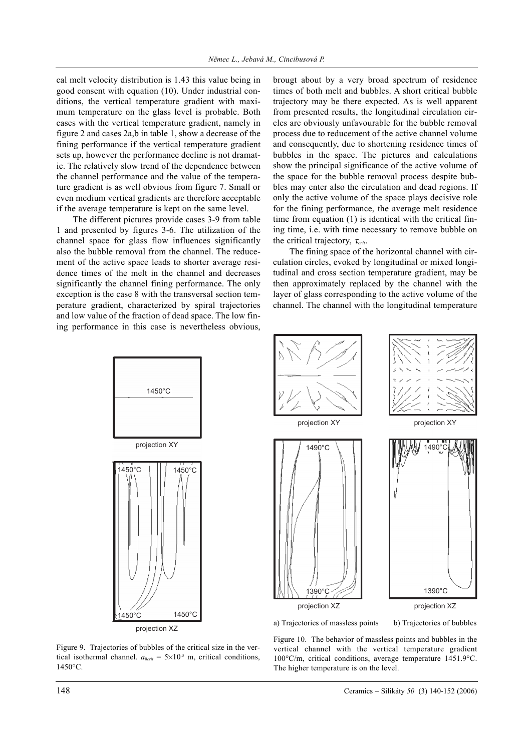cal melt velocity distribution is 1.43 this value being in good consent with equation (10). Under industrial conditions, the vertical temperature gradient with maximum temperature on the glass level is probable. Both cases with the vertical temperature gradient, namely in figure 2 and cases 2a,b in table 1, show a decrease of the fining performance if the vertical temperature gradient sets up, however the performance decline is not dramatic. The relatively slow trend of the dependence between the channel performance and the value of the temperature gradient is as well obvious from figure 7. Small or even medium vertical gradients are therefore acceptable if the average temperature is kept on the same level.

The different pictures provide cases 3-9 from table 1 and presented by figures 3-6. The utilization of the channel space for glass flow influences significantly also the bubble removal from the channel. The reducement of the active space leads to shorter average residence times of the melt in the channel and decreases significantly the channel fining performance. The only exception is the case 8 with the transversal section temperature gradient, characterized by spiral trajectories and low value of the fraction of dead space. The low fining performance in this case is nevertheless obvious, brougt about by a very broad spectrum of residence times of both melt and bubbles. A short critical bubble trajectory may be there expected. As is well apparent from presented results, the longitudinal circulation circles are obviously unfavourable for the bubble removal process due to reducement of the active channel volume and consequently, due to shortening residence times of bubbles in the space. The pictures and calculations show the principal significance of the active volume of the space for the bubble removal process despite bubbles may enter also the circulation and dead regions. If only the active volume of the space plays decisive role for the fining performance, the average melt residence time from equation (1) is identical with the critical fining time, i.e. with time necessary to remove bubble on the critical trajectory, <sup>τ</sup>*crit*.

The fining space of the horizontal channel with circulation circles, evoked by longitudinal or mixed longitudinal and cross section temperature gradient, may be then approximately replaced by the channel with the layer of glass corresponding to the active volume of the channel. The channel with the longitudinal temperature



projection XZ

Figure 9. Trajectories of bubbles of the critical size in the vertical isothermal channel.  $a_{0crit} = 5 \times 10^{-5}$  m, critical conditions, 1450°C.

Figure 10. The behavior of massless points and bubbles in the vertical channel with the vertical temperature gradient 100°C/m, critical conditions, average temperature 1451.9°C. The higher temperature is on the level.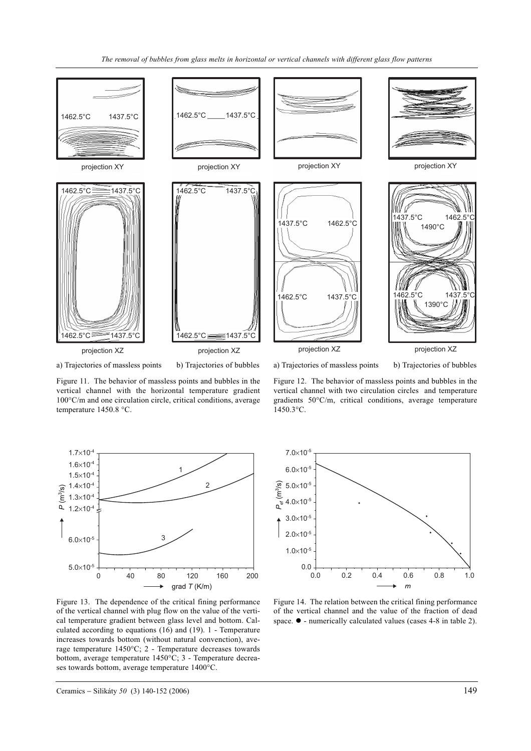

a) Trajectories of massless points b) Trajectories of bubbles

a) Trajectories of massless points b) Trajectories of bubbles

Figure 11. The behavior of massless points and bubbles in the vertical channel with the horizontal temperature gradient 100°C/m and one circulation circle, critical conditions, average temperature 1450.8 °C.





Figure 13. The dependence of the critical fining performance of the vertical channel with plug flow on the value of the vertical temperature gradient between glass level and bottom. Calculated according to equations (16) and (19). 1 - Temperature increases towards bottom (without natural convenction), average temperature 1450°C; 2 - Temperature decreases towards bottom, average temperature 1450°C; 3 - Temperature decreases towards bottom, average temperature 1400°C.



Figure 14. The relation between the critical fining performance of the vertical channel and the value of the fraction of dead space.  $\bullet$  - numerically calculated values (cases 4-8 in table 2).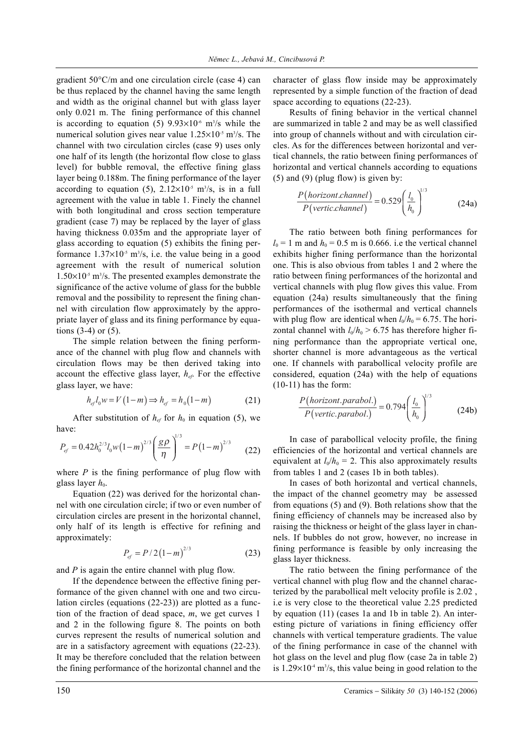gradient 50°C/m and one circulation circle (case 4) can be thus replaced by the channel having the same length and width as the original channel but with glass layer only 0.021 m. The fining performance of this channel is according to equation (5)  $9.93 \times 10^{-6}$  m<sup>3</sup>/s while the numerical solution gives near value  $1.25 \times 10^{-5}$  m<sup>3</sup>/s. The channel with two circulation circles (case 9) uses only one half of its length (the horizontal flow close to glass level) for bubble removal, the effective fining glass layer being 0.188m. The fining performance of the layer according to equation (5),  $2.12 \times 10^{-5}$  m<sup>3</sup>/s, is in a full agreement with the value in table 1. Finely the channel with both longitudinal and cross section temperature gradient (case 7) may be replaced by the layer of glass having thickness 0.035m and the appropriate layer of glass according to equation (5) exhibits the fining performance  $1.37 \times 10^{-5}$  m<sup>3</sup>/s, i.e. the value being in a good agreement with the result of numerical solution  $1.50\times10^{-5}$  m<sup>3</sup>/s. The presented examples demonstrate the significance of the active volume of glass for the bubble removal and the possibility to represent the fining channel with circulation flow approximately by the appropriate layer of glass and its fining performance by equations  $(3-4)$  or  $(5)$ .

The simple relation between the fining performance of the channel with plug flow and channels with circulation flows may be then derived taking into account the effective glass layer,  $h_{ef}$ . For the effective glass layer, we have:

$$
h_{ef}l_0w = V(1-m) \Rightarrow h_{ef} = h_0(1-m)
$$
 (21)

After substitution of  $h_{ef}$  for  $h_0$  in equation (5), we have:

$$
P_{ef} = 0.42 h_0^{2/3} l_0 w (1 - m)^{2/3} \left(\frac{g\rho}{\eta}\right)^{1/3} = P (1 - m)^{2/3}
$$
 (22)

where  $P$  is the fining performance of plug flow with glass layer  $h_0$ .

Equation (22) was derived for the horizontal channel with one circulation circle; if two or even number of circulation circles are present in the horizontal channel, only half of its length is effective for refining and approximately:

$$
P_{ef} = P / 2 (1 - m)^{2/3}
$$
 (23)

and *P* is again the entire channel with plug flow.

If the dependence between the effective fining performance of the given channel with one and two circulation circles (equations (22-23)) are plotted as a function of the fraction of dead space, *m*, we get curves 1 and 2 in the following figure 8. The points on both curves represent the results of numerical solution and are in a satisfactory agreement with equations (22-23). It may be therefore concluded that the relation between the fining performance of the horizontal channel and the

character of glass flow inside may be approximately represented by a simple function of the fraction of dead space according to equations (22-23).

Results of fining behavior in the vertical channel are summarized in table 2 and may be as well classified into group of channels without and with circulation circles. As for the differences between horizontal and vertical channels, the ratio between fining performances of horizontal and vertical channels according to equations  $(5)$  and  $(9)$  (plug flow) is given by:

$$
\frac{P(horizont.channel)}{P(vertic.channel)} = 0.529 \left(\frac{l_0}{h_0}\right)^{1/3}
$$
 (24a)

The ratio between both fining performances for  $l_0$  = 1 m and  $h_0$  = 0.5 m is 0.666. i.e the vertical channel exhibits higher fining performance than the horizontal one. This is also obvious from tables 1 and 2 where the ratio between fining performances of the horizontal and vertical channels with plug flow gives this value. From equation (24a) results simultaneously that the fining performances of the isothermal and vertical channels with plug flow are identical when  $l_0/h_0 = 6.75$ . The horizontal channel with  $l_0/h_0 > 6.75$  has therefore higher fining performance than the appropriate vertical one, shorter channel is more advantageous as the vertical one. If channels with parabollical velocity profile are considered, equation (24a) with the help of equations (10-11) has the form:

$$
\frac{P(horizont. parabol.)}{P(vertic. parabol.)} = 0.794 \left(\frac{l_0}{h_0}\right)^{1/3}
$$
 (24b)

In case of parabollical velocity profile, the fining efficiencies of the horizontal and vertical channels are equivalent at  $l_0/h_0 = 2$ . This also approximately results from tables 1 and 2 (cases 1b in both tables).

In cases of both horizontal and vertical channels, the impact of the channel geometry may be assessed from equations (5) and (9). Both relations show that the fining efficiency of channels may be increased also by raising the thickness or height of the glass layer in channels. If bubbles do not grow, however, no increase in fining performance is feasible by only increasing the glass layer thickness.

The ratio between the fining performance of the vertical channel with plug flow and the channel characterized by the parabollical melt velocity profile is 2.02 , i.e is very close to the theoretical value 2.25 predicted by equation (11) (cases 1a and 1b in table 2). An interesting picture of variations in fining efficiency offer channels with vertical temperature gradients. The value of the fining performance in case of the channel with hot glass on the level and plug flow (case 2a in table 2) is  $1.29 \times 10^{-4}$  m<sup>3</sup>/s, this value being in good relation to the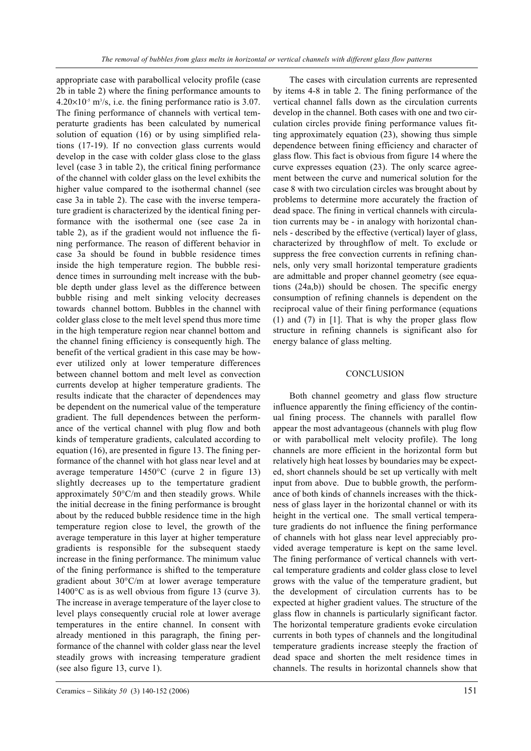appropriate case with parabollical velocity profile (case 2b in table 2) where the fining performance amounts to  $4.20\times10^{-5}$  m<sup>3</sup>/s, i.e. the fining performance ratio is 3.07. The fining performance of channels with vertical temperaturte gradients has been calculated by numerical solution of equation (16) or by using simplified relations (17-19). If no convection glass currents would develop in the case with colder glass close to the glass level (case 3 in table 2), the critical fining performance of the channel with colder glass on the level exhibits the higher value compared to the isothermal channel (see case 3a in table 2). The case with the inverse temperature gradient is characterized by the identical fining performance with the isothermal one (see case 2a in table 2), as if the gradient would not influence the fining performance. The reason of different behavior in case 3a should be found in bubble residence times inside the high temperature region. The bubble residence times in surrounding melt increase with the bubble depth under glass level as the difference between bubble rising and melt sinking velocity decreases towards channel bottom. Bubbles in the channel with colder glass close to the melt level spend thus more time in the high temperature region near channel bottom and the channel fining efficiency is consequently high. The benefit of the vertical gradient in this case may be however utilized only at lower temperature differences between channel bottom and melt level as convection currents develop at higher temperature gradients. The results indicate that the character of dependences may be dependent on the numerical value of the temperature gradient. The full dependences between the performance of the vertical channel with plug flow and both kinds of temperature gradients, calculated according to equation (16), are presented in figure 13. The fining performance of the channel with hot glass near level and at average temperature  $1450^{\circ}$ C (curve 2 in figure 13) slightly decreases up to the tempertature gradient approximately 50°C/m and then steadily grows. While the initial decrease in the fining performance is brought about by the reduced bubble residence time in the high temperature region close to level, the growth of the average temperature in this layer at higher temperature gradients is responsible for the subsequent staedy increase in the fining performance. The minimum value of the fining performance is shifted to the temperature gradient about 30°C/m at lower average temperature 1400°C as is as well obvious from figure 13 (curve 3). The increase in average temperature of the layer close to level plays consequently crucial role at lower average temperatures in the entire channel. In consent with already mentioned in this paragraph, the fining performance of the channel with colder glass near the level steadily grows with increasing temperature gradient (see also figure 13, curve 1).

The cases with circulation currents are represented by items 4-8 in table 2. The fining performance of the vertical channel falls down as the circulation currents develop in the channel. Both cases with one and two circulation circles provide fining performance values fitting approximately equation (23), showing thus simple dependence between fining efficiency and character of glass flow. This fact is obvious from figure 14 where the curve expresses equation (23). The only scarce agreement between the curve and numerical solution for the case 8 with two circulation circles was brought about by problems to determine more accurately the fraction of dead space. The fining in vertical channels with circulation currents may be - in analogy with horizontal channels - described by the effective (vertical) layer of glass, characterized by throughflow of melt. To exclude or suppress the free convection currents in refining channels, only very small horizontal temperature gradients are admittable and proper channel geometry (see equations (24a,b)) should be chosen. The specific energy consumption of refining channels is dependent on the reciprocal value of their fining performance (equations (1) and (7) in [1]. That is why the proper glass flow structure in refining channels is significant also for energy balance of glass melting.

#### **CONCLUSION**

Both channel geometry and glass flow structure influence apparently the fining efficiency of the continual fining process. The channels with parallel flow appear the most advantageous (channels with plug flow or with parabollical melt velocity profile). The long channels are more efficient in the horizontal form but relatively high heat losses by boundaries may be expected, short channels should be set up vertically with melt input from above. Due to bubble growth, the performance of both kinds of channels increases with the thickness of glass layer in the horizontal channel or with its height in the vertical one. The small vertical temperature gradients do not influence the fining performance of channels with hot glass near level appreciably provided average temperature is kept on the same level. The fining performance of vertical channels with vertcal temperature gradients and colder glass close to level grows with the value of the temperature gradient, but the development of circulation currents has to be expected at higher gradient values. The structure of the glass flow in channels is particularly significant factor. The horizontal temperature gradients evoke circulation currents in both types of channels and the longitudinal temperature gradients increase steeply the fraction of dead space and shorten the melt residence times in channels. The results in horizontal channels show that